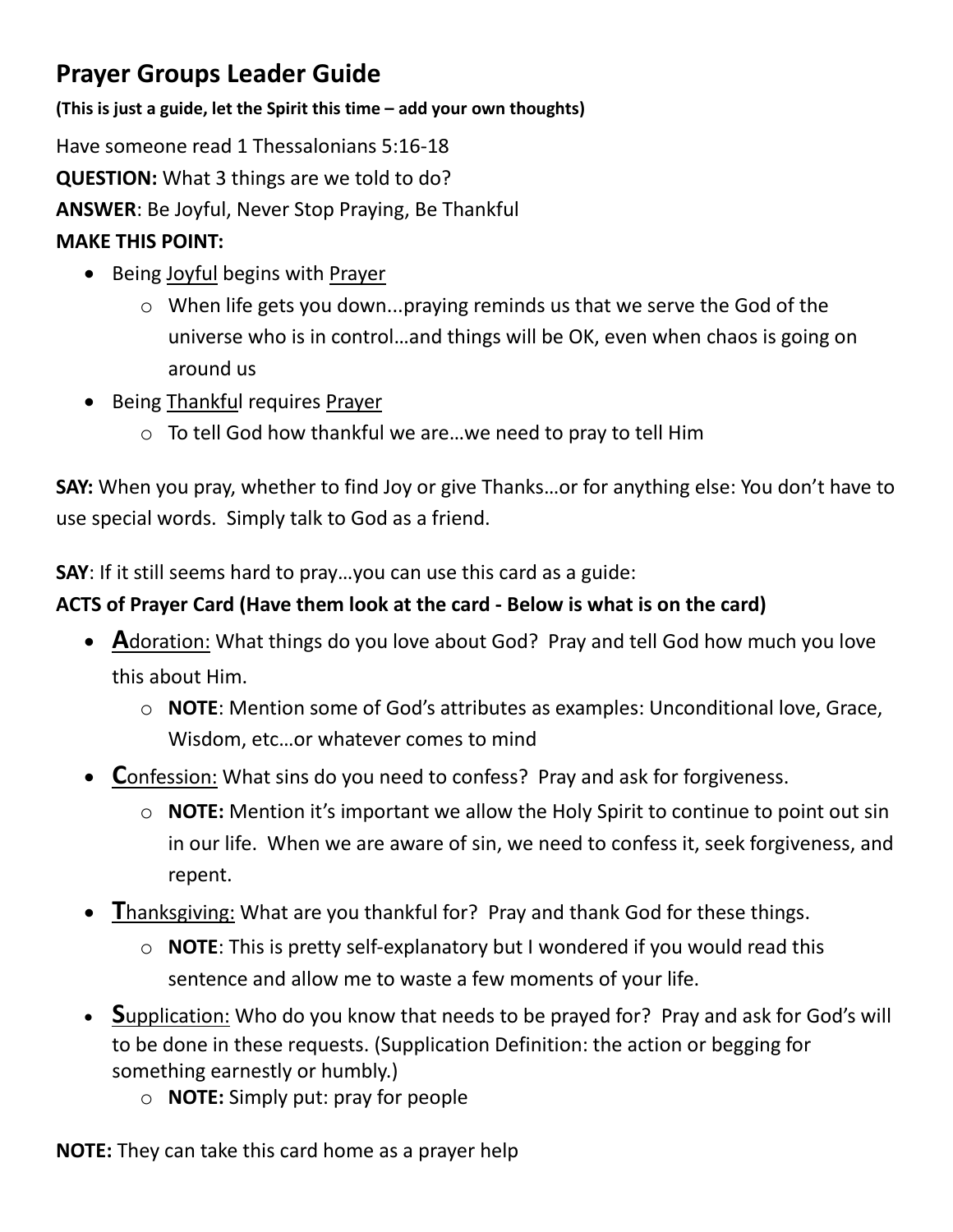# **Prayer Groups Leader Guide**

**(This is just a guide, let the Spirit this time – add your own thoughts)**

Have someone read 1 Thessalonians 5:16-18 **QUESTION:** What 3 things are we told to do?

**ANSWER**: Be Joyful, Never Stop Praying, Be Thankful

### **MAKE THIS POINT:**

- Being Joyful begins with Prayer
	- o When life gets you down...praying reminds us that we serve the God of the universe who is in control…and things will be OK, even when chaos is going on around us
- Being Thankful requires Prayer
	- o To tell God how thankful we are…we need to pray to tell Him

**SAY:** When you pray, whether to find Joy or give Thanks…or for anything else: You don't have to use special words. Simply talk to God as a friend.

**SAY**: If it still seems hard to pray…you can use this card as a guide:

# **ACTS of Prayer Card (Have them look at the card - Below is what is on the card)**

- **A**doration: What things do you love about God? Pray and tell God how much you love this about Him.
	- o **NOTE**: Mention some of God's attributes as examples: Unconditional love, Grace, Wisdom, etc…or whatever comes to mind
- **C**onfession: What sins do you need to confess? Pray and ask for forgiveness.
	- o **NOTE:** Mention it's important we allow the Holy Spirit to continue to point out sin in our life. When we are aware of sin, we need to confess it, seek forgiveness, and repent.
- **T**hanksgiving: What are you thankful for? Pray and thank God for these things.
	- o **NOTE**: This is pretty self-explanatory but I wondered if you would read this sentence and allow me to waste a few moments of your life.
- **S**upplication: Who do you know that needs to be prayed for? Pray and ask for God's will to be done in these requests. (Supplication Definition: the action or begging for something earnestly or humbly.)
	- o **NOTE:** Simply put: pray for people

**NOTE:** They can take this card home as a prayer help